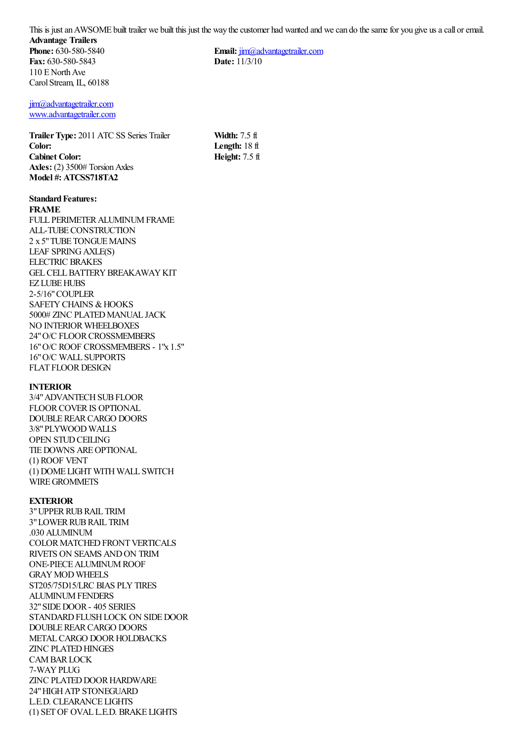This is just an AWSOME built trailer we built this just the way the customer had wanted and we can do the same for you give us a call or email. **Advantage Trailers Phone:** 630-580-5840 **Fax:** 630-580-5843 110 E North Ave **Email:** [jim@advantagetrailer.com](mailto:jim@advantagetrailer.com) **Date:** 11/3/10

> **Width:** 7.5 ft **Length:** 18 ft **Height:** 7.5 ft

[jim@advantagetrailer.com](mailto:jim@advantagetrailer.com) [www.advantagetrailer.com](http://www.advantagetrailer.com/)

Carol Stream, IL, 60188

**Trailer Type:** 2011 ATC SS Series Trailer **Color: Cabinet Color: Axles:** (2) 3500# Torsion Axles **Model #: ATCSS718TA2**

#### **Standard Features: FRAME**

FULL PERIMETER ALUMINUM FRAME ALL-TUBE CONSTRUCTION 2 x 5" TUBE TONGUE MAINS LEAF SPRING AXLE(S) ELECTRIC BRAKES GEL CELL BATTERY BREAKAWAY KIT EZ LUBE HUBS 2-5/16" COUPLER SAFETY CHAINS & HOOKS 5000# ZINC PLATED MANUAL JACK NO INTERIOR WHEELBOXES 24" O/C FLOOR CROSSMEMBERS 16" O/C ROOF CROSSMEMBERS - 1"x 1.5" 16" O/C WALL SUPPORTS FLAT FLOOR DESIGN

# **INTERIOR**

3/4" ADVANTECH SUB FLOOR FLOOR COVER IS OPTIONAL DOUBLE REAR CARGO DOORS 3/8" PLYWOOD WALLS OPEN STUD CEILING TIE DOWNS ARE OPTIONAL (1) ROOF VENT (1) DOME LIGHT WITH WALL SWITCH WIRE GROMMETS

# **EXTERIOR**

3" UPPER RUB RAIL TRIM 3" LOWER RUB RAIL TRIM .030 ALUMINUM COLOR MATCHED FRONT VERTICALS RIVETS ON SEAMS AND ON TRIM ONE-PIECE ALUMINUM ROOF GRAY MOD WHEELS ST205/75D15/LRC BIAS PLY TIRES ALUMINUM FENDERS 32" SIDE DOOR - 405 SERIES STANDARD FLUSH LOCK ON SIDE DOOR DOUBLE REAR CARGO DOORS METAL CARGO DOOR HOLDBACKS ZINC PLATED HINGES CAM BAR LOCK 7-WAY PLUG ZINC PLATED DOOR HARDWARE 24" HIGH ATP STONEGUARD L.E.D. CLEARANCE LIGHTS (1) SET OF OVAL L.E.D. BRAKE LIGHTS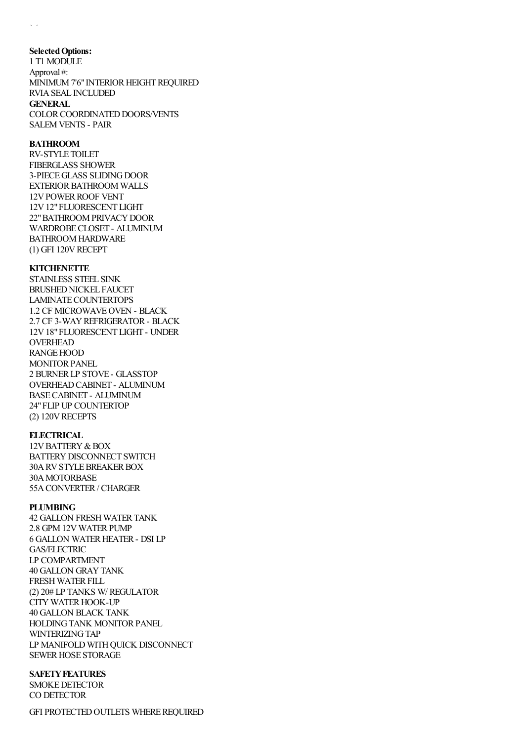### **Selected Options:**

1 T1 MODULE Approval #: MINIMUM 7'6" INTERIOR HEIGHT REQUIRED RVIA SEAL INCLUDED **GENERAL** COLOR COORDINATED DOORS/VENTS SALEM VENTS - PAIR

## **BATHROOM**

RV-STYLE TOILET FIBERGLASS SHOWER 3-PIECE GLASS SLIDING DOOR EXTERIOR BATHROOM WALLS 12V POWER ROOF VENT 12V 12" FLUORESCENT LIGHT 22" BATHROOM PRIVACY DOOR WARDROBE CLOSET - ALUMINUM BATHROOM HARDWARE (1) GFI 120V RECEPT

#### **KITCHENETTE**

STAINLESS STEEL SINK BRUSHED NICKEL FAUCET LAMINATE COUNTERTOPS 1.2 CF MICROWAVE OVEN - BLACK 2.7 CF 3-WAY REFRIGERATOR - BLACK 12V 18" FLUORESCENT LIGHT - UNDER OVERHEAD RANGE HOOD MONITOR PANEL 2 BURNER LP STOVE - GLASSTOP OVERHEAD CABINET - ALUMINUM BASE CABINET - ALUMINUM 24" FLIP UP COUNTERTOP (2) 120V RECEPTS

### **ELECTRICAL**

12V BATTERY & BOX BATTERY DISCONNECT SWITCH 30A RV STYLE BREAKER BOX 30A MOTORBASE 55A CONVERTER / CHARGER

### **PLUMBING**

42 GALLON FRESH WATER TANK 2.8 GPM 12V WATER PUMP 6 GALLON WATER HEATER - DSI LP GAS/ELECTRIC LP COMPARTMENT 40 GALLON GRAY TANK FRESH WATER FILL (2) 20# LP TANKS W/ REGULATOR CITY WATER HOOK-UP 40 GALLON BLACK TANK HOLDING TANK MONITOR PANEL WINTERIZING TAP LP MANIFOLD WITH QUICK DISCONNECT SEWER HOSE STORAGE

## **SAFETY FEATURES**

SMOKE DETECTOR CO DETECTOR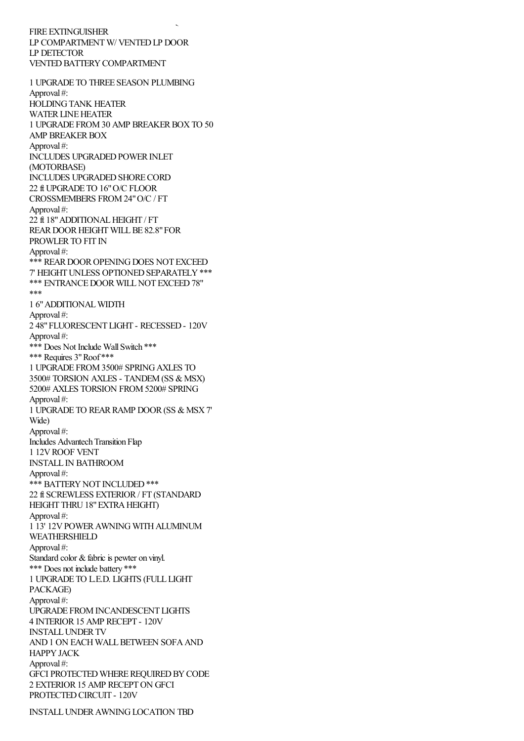FIRE EXTINGUISHER LP COMPARTMENT W/ VENTED LP DOOR LP DETECTOR VENTED BATTERY COMPARTMENT

GFI PROTECTED OUTLETS WHERE REQUIRED

1 UPGRADE TO THREE SEASON PLUMBING Approval #: HOLDING TANK HEATER WATER LINE HEATER 1 UPGRADE FROM 30 AMP BREAKER BOX TO 50 AMP BREAKER BOX Approval #: INCLUDES UPGRADED POWER INLET (MOTORBASE) INCLUDES UPGRADED SHORE CORD 22 ft UPGRADE TO 16" O/C FLOOR CROSSMEMBERS FROM 24" O/C / FT Approval #: 22 ft 18" ADDITIONAL HEIGHT / FT REAR DOOR HEIGHT WILL BE 82.8" FOR PROWLER TO FIT IN Approval #: \*\*\* REAR DOOR OPENING DOES NOT EXCEED 7' HEIGHT UNLESS OPTIONED SEPARATELY \*\*\* \*\*\* ENTRANCE DOOR WILL NOT EXCEED 78" \*\*\* 1 6" ADDITIONAL WIDTH Approval #: 2 48" FLUORESCENT LIGHT - RECESSED - 120V Approval #: \*\*\* Does Not Include Wall Switch \*\*\* \*\*\* Requires 3" Roof \*\*\* 1 UPGRADE FROM 3500# SPRING AXLES TO 3500# TORSION AXLES - TANDEM (SS & MSX) 5200# AXLES TORSION FROM 5200# SPRING Approval #: 1 UPGRADE TO REAR RAMP DOOR (SS & MSX 7' Wide) Approval #: Includes Advantech Transition Flap 1 12V ROOF VENT INSTALL IN BATHROOM Approval #: \*\*\* BATTERY NOT INCLUDED \*\*\* 22 ft SCREWLESS EXTERIOR / FT (STANDARD HEIGHT THRU 18" EXTRA HEIGHT) Approval #: 1 13' 12V POWER AWNING WITH ALUMINUM WEATHERSHIELD Approval #: Standard color & fabric is pewter on vinyl. \*\*\* Does not include battery \*\*\* 1 UPGRADE TO L.E.D. LIGHTS (FULL LIGHT PACKAGE) Approval #: UPGRADE FROM INCANDESCENT LIGHTS 4 INTERIOR 15 AMP RECEPT - 120V INSTALL UNDER TV AND 1 ON EACH WALL BETWEEN SOFA AND HAPPY JACK Approval #: GFCI PROTECTED WHERE REQUIRED BY CODE 2 EXTERIOR 15 AMP RECEPT ON GFCI PROTECTED CIRCUIT - 120V

INSTALL UNDER AWNING LOCATION TBD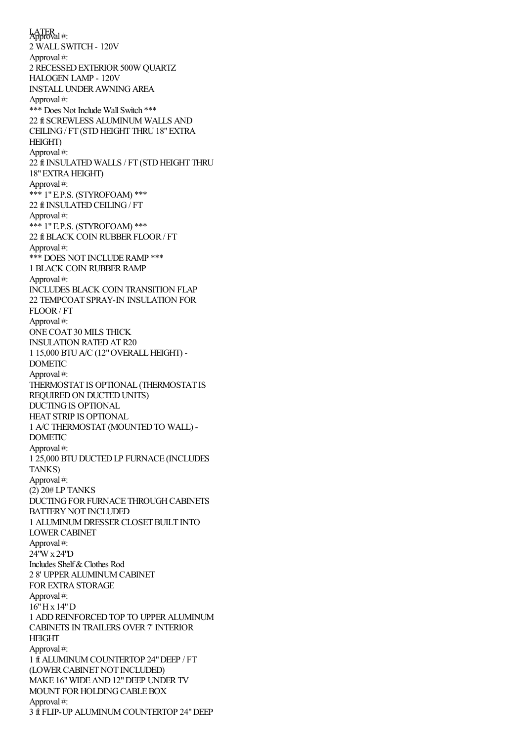INSTALL UNDER AWNING LOCATION TBD LATER<br>Approval #: 2 WALL SWITCH - 120V Approval #: 2 RECESSED EXTERIOR 500W QUARTZ HALOGEN LAMP - 120V INSTALL UNDER AWNING AREA Approval #: \*\*\* Does Not Include Wall Switch \*\*\* 22 ft SCREWLESS ALUMINUM WALLS AND CEILING / FT (STD HEIGHT THRU 18" EXTRA HEIGHT) Approval #: 22 ft INSULATED WALLS / FT (STD HEIGHT THRU 18" EXTRA HEIGHT) Approval #: \*\*\* 1" E.P.S. (STYROFOAM) \*\*\* 22 ft INSULATED CEILING / FT Approval #: \*\*\* 1" E.P.S. (STYROFOAM) \*\*\* 22 ft BLACK COIN RUBBER FLOOR / FT Approval #: \*\*\* DOES NOT INCLUDE RAMP \*\*\* 1 BLACK COIN RUBBER RAMP Approval #: INCLUDES BLACK COIN TRANSITION FLAP 22 TEMPCOAT SPRAY-IN INSULATION FOR FLOOR / FT Approval #: ONE COAT 30 MILS THICK INSULATION RATED AT R20 1 15,000 BTU A/C (12" OVERALL HEIGHT) - DOMETIC Approval #: THERMOSTAT IS OPTIONAL (THERMOSTAT IS REQUIRED ON DUCTED UNITS) DUCTING IS OPTIONAL HEAT STRIP IS OPTIONAL 1 A/C THERMOSTAT (MOUNTED TO WALL) - DOMETIC Approval #: 1 25,000 BTU DUCTED LP FURNACE (INCLUDES TANKS) Approval #: (2) 20# LP TANKS DUCTING FOR FURNACE THROUGH CABINETS BATTERY NOT INCLUDED 1 ALUMINUM DRESSER CLOSET BUILT INTO LOWER CABINET Approval #: 24"W x 24"D Includes Shelf & Clothes Rod 2 8' UPPER ALUMINUM CABINET FOR EXTRA STORAGE Approval #: 16" H x 14" D 1 ADD REINFORCED TOP TO UPPER ALUMINUM CABINETS IN TRAILERS OVER 7' INTERIOR HEIGHT Approval #: 1 ft ALUMINUM COUNTERTOP 24" DEEP / FT (LOWER CABINET NOT INCLUDED) MAKE 16" WIDE AND 12" DEEP UNDER TV MOUNT FOR HOLDING CABLE BOX Approval #: 3 ft FLIP-UP ALUMINUM COUNTERTOP 24" DEEP